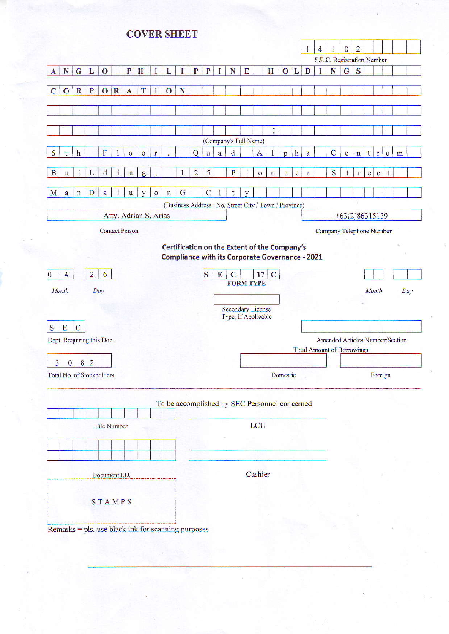# **COVER SHEET**

|                                                                                           |                                               |                |                |             |              |                                                                                                        |                  |              |             |                |                    | $\mathbf{1}$ | 4 |                                   | $\mathbf{0}$   | $\overline{2}$ |                |                                                                                                                                                                                                                                                                                                                                                                                                                                |   |   |     |
|-------------------------------------------------------------------------------------------|-----------------------------------------------|----------------|----------------|-------------|--------------|--------------------------------------------------------------------------------------------------------|------------------|--------------|-------------|----------------|--------------------|--------------|---|-----------------------------------|----------------|----------------|----------------|--------------------------------------------------------------------------------------------------------------------------------------------------------------------------------------------------------------------------------------------------------------------------------------------------------------------------------------------------------------------------------------------------------------------------------|---|---|-----|
| H<br>${\bf N}$<br>$\overline{G}$<br>P<br>L<br>$\overline{0}$<br>L                         | L                                             | T              | P              | P           | I            | N                                                                                                      | E                |              | H           | $\mathbf{O}$   | L                  | D            | T | S.E.C. Registration Number<br>N   | $\mathbf G$    | S              |                |                                                                                                                                                                                                                                                                                                                                                                                                                                |   |   |     |
| A                                                                                         |                                               |                |                |             |              |                                                                                                        |                  |              |             |                |                    |              |   |                                   |                |                |                |                                                                                                                                                                                                                                                                                                                                                                                                                                |   |   |     |
| T<br>O R <br>$\overline{\mathbf{R}}$<br>P<br>$\mathbf{A}$<br>$\mathbf C$<br>$\bf{o}$<br>I | $\mathbf{O}$                                  | $\mathbf N$    |                |             |              |                                                                                                        |                  |              |             |                |                    |              |   |                                   |                |                |                |                                                                                                                                                                                                                                                                                                                                                                                                                                |   |   |     |
|                                                                                           |                                               |                |                |             |              |                                                                                                        |                  |              |             |                |                    |              |   |                                   |                |                |                |                                                                                                                                                                                                                                                                                                                                                                                                                                |   |   |     |
|                                                                                           |                                               |                |                |             |              |                                                                                                        |                  |              |             |                |                    |              |   |                                   |                |                |                |                                                                                                                                                                                                                                                                                                                                                                                                                                |   |   |     |
|                                                                                           |                                               |                |                |             |              |                                                                                                        |                  |              | t           |                |                    |              |   |                                   |                |                |                |                                                                                                                                                                                                                                                                                                                                                                                                                                |   |   |     |
|                                                                                           |                                               |                |                |             |              | (Company's Full Name)                                                                                  |                  |              |             |                |                    |              |   |                                   |                |                |                |                                                                                                                                                                                                                                                                                                                                                                                                                                |   |   |     |
| $\overline{F}$<br>$\mathbf{h}$<br>6<br>$\overline{O}$<br>$\circ$<br>t<br>$\mathbf{r}$     |                                               |                | Q              | u           | $\mathbf{a}$ | $\mathbf d$                                                                                            |                  | $\mathbf{A}$ |             | $\overline{D}$ | $\,$ h             | a            |   | $\overline{C}$                    | e              | $\mathbf{n}$   | t              | r                                                                                                                                                                                                                                                                                                                                                                                                                              | u | m |     |
| $\ddot{i}$<br>$\mathbf{i}$<br>$\mathbf d$<br>$\mathbf{B}$<br>L<br>$\mathbf n$<br>g<br>u   |                                               | 1              | $\overline{2}$ | 5           |              | $\overline{P}$                                                                                         | $\mathbf{i}$     | $\mathbf{o}$ | $\mathbf n$ | e              | $\mathbf{e}% _{w}$ | $\mathbf r$  |   | S                                 | $t$            | $\Gamma$       | e <sub>1</sub> | $\mathbf{e}% _{B}=\mathbf{e}_{B}+\mathbf{e}_{B}+\mathbf{e}_{B}+\mathbf{e}_{B}+\mathbf{e}_{B}+\mathbf{e}_{B}+\mathbf{e}_{B}+\mathbf{e}_{B}+\mathbf{e}_{B}+\mathbf{e}_{B}+\mathbf{e}_{B}+\mathbf{e}_{B}+\mathbf{e}_{B}+\mathbf{e}_{B}+\mathbf{e}_{B}+\mathbf{e}_{B}+\mathbf{e}_{B}+\mathbf{e}_{B}+\mathbf{e}_{B}+\mathbf{e}_{B}+\mathbf{e}_{B}+\mathbf{e}_{B}+\mathbf{e}_{B}+\mathbf{e}_{B}+\mathbf{e}_{B}+\mathbf{e}_{B}+\math$ | t |   |     |
| M<br>D<br>a<br>$\mathbf{u}$<br>$\circ$<br>a<br>$\mathbf n$<br>y                           | $\mathbf n$                                   | $\overline{G}$ |                | $\mathbf C$ | $\mathbf{i}$ | t                                                                                                      | y                |              |             |                |                    |              |   |                                   |                |                |                |                                                                                                                                                                                                                                                                                                                                                                                                                                |   |   |     |
|                                                                                           |                                               |                |                |             |              | (Business Address: No. Street City / Town / Province)                                                  |                  |              |             |                |                    |              |   |                                   |                |                |                |                                                                                                                                                                                                                                                                                                                                                                                                                                |   |   |     |
| Atty. Adrian S. Arias                                                                     |                                               |                |                |             |              |                                                                                                        |                  |              |             |                |                    |              |   |                                   | +63(2)86315139 |                |                |                                                                                                                                                                                                                                                                                                                                                                                                                                |   |   |     |
| <b>Contact Person</b>                                                                     |                                               |                |                |             |              |                                                                                                        |                  |              |             |                |                    |              |   | Company Telephone Number          |                |                |                |                                                                                                                                                                                                                                                                                                                                                                                                                                |   |   |     |
|                                                                                           |                                               |                |                |             |              |                                                                                                        |                  |              |             |                |                    |              |   |                                   |                |                |                |                                                                                                                                                                                                                                                                                                                                                                                                                                |   |   |     |
|                                                                                           |                                               |                |                |             |              | Certification on the Extent of the Company's<br><b>Compliance with its Corporate Governance - 2021</b> |                  |              |             |                |                    |              |   |                                   |                |                |                |                                                                                                                                                                                                                                                                                                                                                                                                                                |   |   |     |
|                                                                                           |                                               |                |                |             |              |                                                                                                        |                  |              |             |                |                    |              |   |                                   |                |                |                |                                                                                                                                                                                                                                                                                                                                                                                                                                |   |   |     |
| 6<br>$\overline{2}$<br>4<br>0                                                             |                                               |                |                | S           | $\mathbf E$  | $\mathbf C$                                                                                            | <b>FORM TYPE</b> | 17           | $\mathbf C$ |                |                    |              |   |                                   |                |                |                |                                                                                                                                                                                                                                                                                                                                                                                                                                |   |   |     |
| Month<br>Day                                                                              |                                               |                |                |             |              |                                                                                                        |                  |              |             |                |                    |              |   |                                   |                |                |                | Month                                                                                                                                                                                                                                                                                                                                                                                                                          |   |   | Day |
|                                                                                           |                                               |                |                |             |              |                                                                                                        |                  |              |             |                |                    |              |   |                                   |                |                |                |                                                                                                                                                                                                                                                                                                                                                                                                                                |   |   |     |
|                                                                                           |                                               |                |                |             |              |                                                                                                        |                  |              |             |                |                    |              |   |                                   |                |                |                |                                                                                                                                                                                                                                                                                                                                                                                                                                |   |   |     |
|                                                                                           |                                               |                |                |             |              | <b>Secondary License</b><br>Type, If Applicable                                                        |                  |              |             |                |                    |              |   |                                   |                |                |                |                                                                                                                                                                                                                                                                                                                                                                                                                                |   |   |     |
| $\mathsf C$<br>E                                                                          |                                               |                |                |             |              |                                                                                                        |                  |              |             |                |                    |              |   |                                   |                |                |                |                                                                                                                                                                                                                                                                                                                                                                                                                                |   |   |     |
|                                                                                           |                                               |                |                |             |              |                                                                                                        |                  |              |             |                |                    |              |   | Amended Articles Number/Section   |                |                |                |                                                                                                                                                                                                                                                                                                                                                                                                                                |   |   |     |
|                                                                                           |                                               |                |                |             |              |                                                                                                        |                  |              |             |                |                    |              |   | <b>Total Amount of Borrowings</b> |                |                |                |                                                                                                                                                                                                                                                                                                                                                                                                                                |   |   |     |
| 3<br>8<br>$\overline{2}$<br>0                                                             |                                               |                |                |             |              |                                                                                                        |                  |              |             |                |                    |              |   |                                   |                |                |                |                                                                                                                                                                                                                                                                                                                                                                                                                                |   |   |     |
|                                                                                           |                                               |                |                |             |              |                                                                                                        |                  |              |             | Domestic       |                    |              |   |                                   |                |                |                | Foreign                                                                                                                                                                                                                                                                                                                                                                                                                        |   |   |     |
|                                                                                           |                                               |                |                |             |              |                                                                                                        |                  |              |             |                |                    |              |   |                                   |                |                |                |                                                                                                                                                                                                                                                                                                                                                                                                                                |   |   |     |
|                                                                                           | To be accomplished by SEC Personnel concerned |                |                |             |              |                                                                                                        |                  |              |             |                |                    |              |   |                                   |                |                |                |                                                                                                                                                                                                                                                                                                                                                                                                                                |   |   |     |
|                                                                                           |                                               |                |                |             |              |                                                                                                        |                  | LCU          |             |                |                    |              |   |                                   |                |                |                |                                                                                                                                                                                                                                                                                                                                                                                                                                |   |   |     |
| File Number                                                                               |                                               |                |                |             |              |                                                                                                        |                  |              |             |                |                    |              |   |                                   |                |                |                |                                                                                                                                                                                                                                                                                                                                                                                                                                |   |   |     |
|                                                                                           |                                               |                |                |             |              |                                                                                                        |                  |              |             |                |                    |              |   |                                   |                |                |                |                                                                                                                                                                                                                                                                                                                                                                                                                                |   |   |     |
|                                                                                           |                                               |                |                |             |              |                                                                                                        |                  |              |             |                |                    |              |   |                                   |                |                |                |                                                                                                                                                                                                                                                                                                                                                                                                                                |   |   |     |
| Document I.D.                                                                             |                                               |                |                |             |              |                                                                                                        |                  | Cashier      |             |                |                    |              |   |                                   |                |                |                |                                                                                                                                                                                                                                                                                                                                                                                                                                |   |   |     |
|                                                                                           |                                               |                |                |             |              |                                                                                                        |                  |              |             |                |                    |              |   |                                   |                |                |                |                                                                                                                                                                                                                                                                                                                                                                                                                                |   |   |     |
| S<br>Dept. Requiring this Doc.<br>Total No. of Stockholders<br><b>STAMPS</b>              |                                               |                |                |             |              |                                                                                                        |                  |              |             |                |                    |              |   |                                   |                |                |                |                                                                                                                                                                                                                                                                                                                                                                                                                                |   |   |     |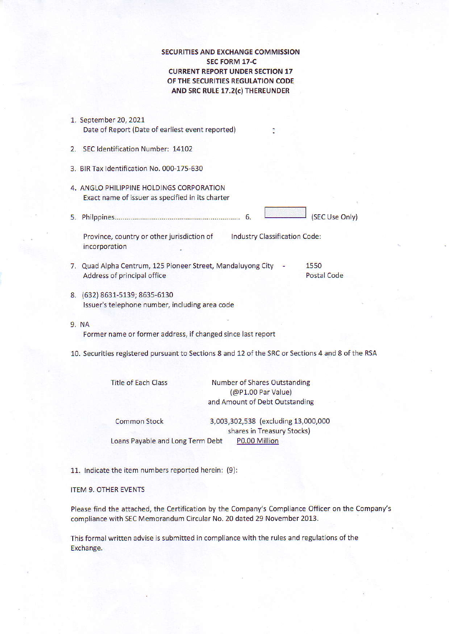SECURITIES AND EXCHANGE COMMISSION sEc FoRM 17-C CURRENT REPORT UNDER SECTION 17 OF THE SECURITIES REGULATION CODE AND SRC RULE 17.2(c) THEREUNDER

- 1. september 20, 2021 Date of Report (Date of earliest event reported)
- 2. SEC ldentification Number: 14102
- 3. BlRTax ldentification No. 000-175-630
- 4. ANGLO PHILIPPINE HOLDINGS CORPORATION Exact name of issuer as specified in its charter
- 5.Phi|ppines...'....'..,.'....'.'.''.,..'.'.''.'.'..'.'..,.'..'.'....'.,,.,.6'

Province, country or other jurisdiction of Industry Classification Code: incorporation

- 7. Quad Alpha Centrum, 125 Pioneer Street, Mandaluyong City 1550<br>Address of principal office Address of principal office
	-
- 8. (632)8631-5139;8635-6130 Issuer's telephone number, including area code
- 9. NA

Former name or former address, if changed since last report

10. Securities registered pursuant to Sections 8 and 12 of the SRC or Sections 4 and 8 of the RSA

| Title of Each Class              | <b>Number of Shares Outstanding</b><br>(@P1.00 Par Value)<br>and Amount of Debt Outstanding |
|----------------------------------|---------------------------------------------------------------------------------------------|
| <b>Common Stock</b>              | 3,003,302,538 (excluding 13,000,000<br>shares in Treasury Stocks)                           |
| Loans Payable and Long Term Debt | P0.00 Million                                                                               |

11. Indicate the item numbers reported herein: (9):

#### ITEM 9. OTHER EVENTS

Please find the attached, the Certification by the company's compliance Officer on the Company's compliance with SEC Memorendum circular No. 20 dated 29 November 2013.

This formal written advise is submitted in compliance with the rules and regulations of the Exchange.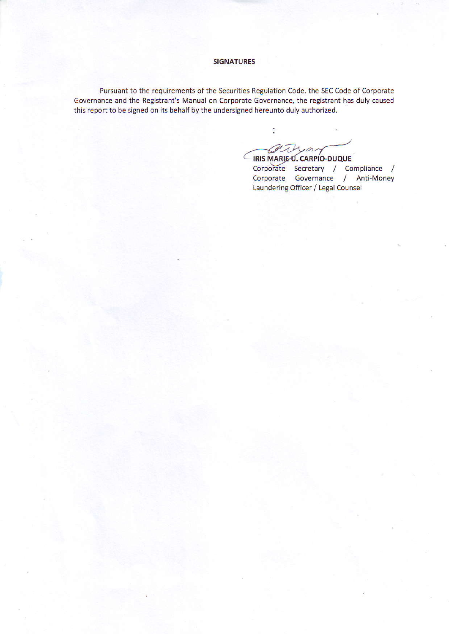## **SIGNATURES**

Pursuant to the requirements of the Securities Regulation Code, the SEC Code of Corporate Governance and the Registrant's Manual on Corporate Governance, the registrant has duly caused this report to be signed on its behalf by the undersigned hereunto duly authorized.

ħ IRIS MARIEU. CARPIO-DUQUE

Corporate Secretary / Compliance /<br>Corporate Governance / Anti-Money Laundering Officer / Legal Counsel